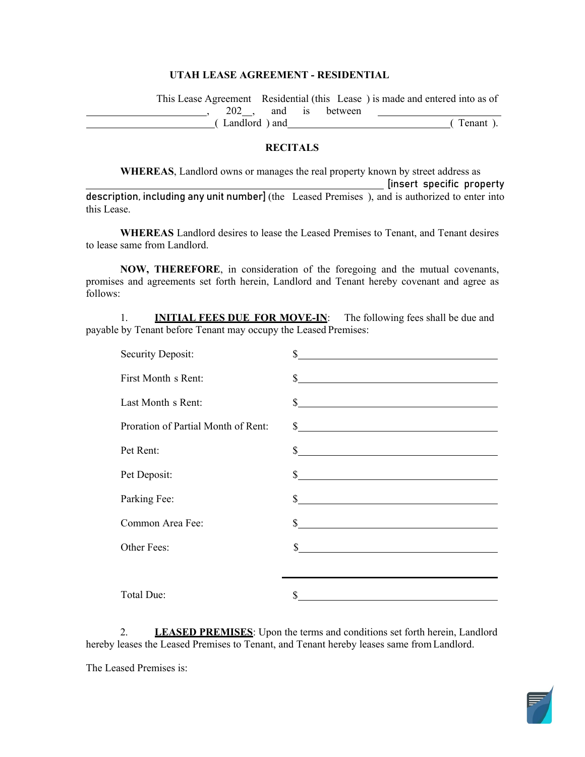#### **UTAH LEASE AGREEMENT - RESIDENTIAL**

 $\overline{a}$  This Lease Agreement Residential (this Lease ) is made and entered into as of  $\frac{1}{202}$ , and is between (Landlord ) and (Tenant ).

#### **RECITALS**

**WHEREAS**, Landlord owns or manages the real property known by street address as [insert specific property description, including any unit number] (the Leased Premises), and is authorized to enter into this Lease.

**WHEREAS** Landlord desires to lease the Leased Premises to Tenant, and Tenant desires to lease same from Landlord.

**NOW, THEREFORE**, in consideration of the foregoing and the mutual covenants, promises and agreements set forth herein, Landlord and Tenant hereby covenant and agree as follows:

1. **INITIAL FEES DUE FOR MOVE-IN:** The following fees shall be due and payable by Tenant before Tenant may occupy the Leased Premises:

| <b>Security Deposit:</b>            | \$                                                                                                                                                                                                                                                                                                                  |
|-------------------------------------|---------------------------------------------------------------------------------------------------------------------------------------------------------------------------------------------------------------------------------------------------------------------------------------------------------------------|
| First Month s Rent:                 | $\sim$                                                                                                                                                                                                                                                                                                              |
| Last Month s Rent:                  | $\sim$                                                                                                                                                                                                                                                                                                              |
| Proration of Partial Month of Rent: | $\sim$ $\sim$                                                                                                                                                                                                                                                                                                       |
| Pet Rent:                           | \$<br><u> 1989 - Johann Stoff, deutscher Stoffen und der Stoffen und der Stoffen und der Stoffen und der Stoffen und der</u>                                                                                                                                                                                        |
| Pet Deposit:                        | $\sim$                                                                                                                                                                                                                                                                                                              |
| Parking Fee:                        | $\frac{1}{2}$ $\frac{1}{2}$ $\frac{1}{2}$ $\frac{1}{2}$ $\frac{1}{2}$ $\frac{1}{2}$ $\frac{1}{2}$ $\frac{1}{2}$ $\frac{1}{2}$ $\frac{1}{2}$ $\frac{1}{2}$ $\frac{1}{2}$ $\frac{1}{2}$ $\frac{1}{2}$ $\frac{1}{2}$ $\frac{1}{2}$ $\frac{1}{2}$ $\frac{1}{2}$ $\frac{1}{2}$ $\frac{1}{2}$ $\frac{1}{2}$ $\frac{1}{2}$ |
| Common Area Fee:                    |                                                                                                                                                                                                                                                                                                                     |
| Other Fees:                         | \$                                                                                                                                                                                                                                                                                                                  |
|                                     |                                                                                                                                                                                                                                                                                                                     |
| Total Due:                          | \$                                                                                                                                                                                                                                                                                                                  |
|                                     |                                                                                                                                                                                                                                                                                                                     |

2. **LEASED PREMISES**: Upon the terms and conditions set forth herein, Landlord hereby leases the Leased Premises to Tenant, and Tenant hereby leases same from Landlord.

The Leased Premises is:

 $\overline{\phantom{a}}$ 

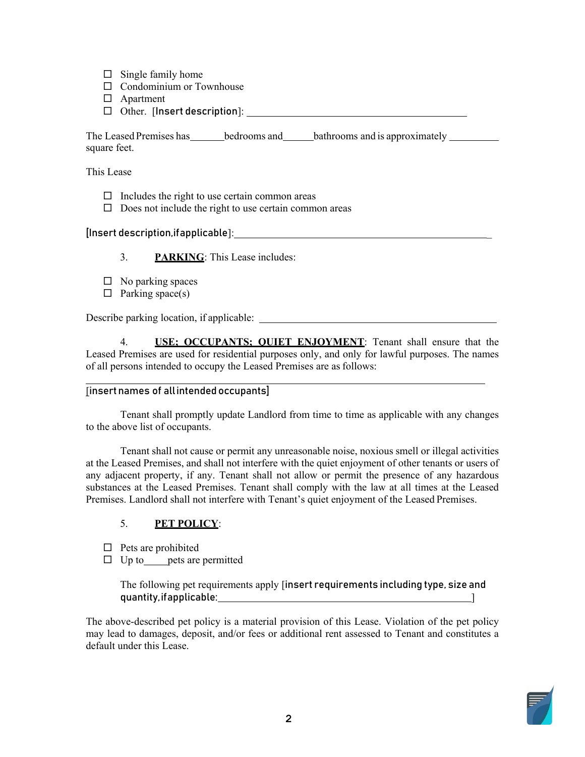- $\square$  Single family home
- □ Condominium or Townhouse
- □ Apartment
- Other. [Insert description]:

The Leased Premises has bedrooms and bathrooms and is approximately square feet.

This Lease

- $\Box$  Includes the right to use certain common areas
- $\Box$  Does not include the right to use certain common areas

#### j [Insert description,ifapplicable]: \_

#### 3. **PARKING**: This Lease includes:

- $\square$  No parking spaces
- $\Box$  Parking space(s)

Describe parking location, if applicable:

 of all persons intended to occupy the Leased Premises are as follows: 4. **USE; OCCUPANTS; QUIET ENJOYMENT**: Tenant shall ensure that the Leased Premises are used for residential purposes only, and only for lawful purposes. The names

#### [insert names of all intended occupants]

Tenant shall promptly update Landlord from time to time as applicable with any changes to the above list of occupants.

 Tenant shall not cause or permit any unreasonable noise, noxious smell or illegal activities at the Leased Premises, and shall not interfere with the quiet enjoyment of other tenants or users of substances at the Leased Premises. Tenant shall comply with the law at all times at the Leased Premises. Landlord shall not interfere with Tenant's quiet enjoyment of the Leased Premises. any adjacent property, if any. Tenant shall not allow or permit the presence of any hazardous

# 5. **PET POLICY**:

- $\square$  Pets are prohibited
- $\square$  Up to pets are permitted

j The following pet requirements apply [insert requirements including type, size and quantity,ifapplicable: ]

 The above-described pet policy is a material provision of this Lease. Violation of the pet policy may lead to damages, deposit, and/or fees or additional rent assessed to Tenant and constitutes a default under this Lease.

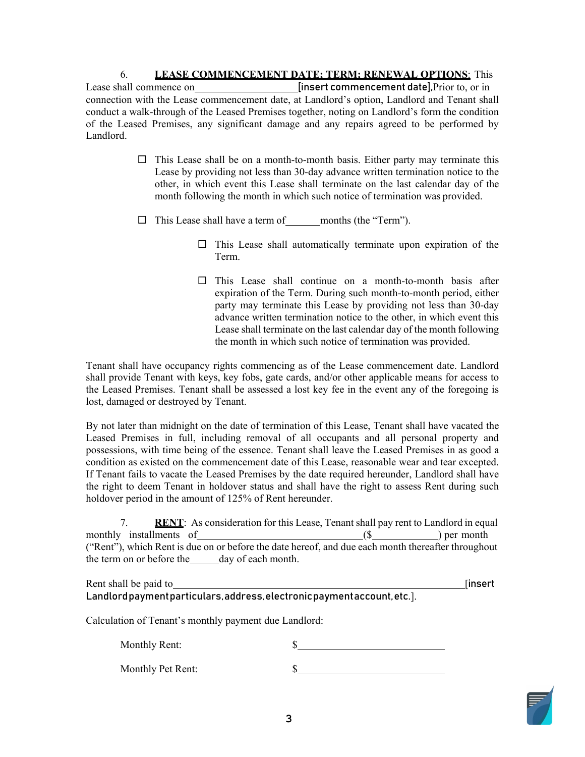6. **LEASE COMMENCEMENT DATE; TERM; RENEWAL OPTIONS**: This Lease shall commence on  $[insert commen cement date]$ , Prior to, or in connection with the Lease commencement date, at Landlord's option, Landlord and Tenant shall conduct a walk-through of the Leased Premises together, noting on Landlord's form the condition of the Leased Premises, any significant damage and any repairs agreed to be performed by Landlord.

- month following the month in which such notice of termination was provided.  $\Box$  This Lease shall be on a month-to-month basis. Either party may terminate this Lease by providing not less than 30-day advance written termination notice to the other, in which event this Lease shall terminate on the last calendar day of the
- $\Box$  This Lease shall have a term of months (the "Term").
	- $\Box$  This Lease shall automatically terminate upon expiration of the Term.
	- expiration of the Term. During such month-to-month period, either Lease shall terminate on the last calendar day of the month following the month in which such notice of termination was provided.  $\square$  This Lease shall continue on a month-to-month basis after party may terminate this Lease by providing not less than 30-day advance written termination notice to the other, in which event this

 shall provide Tenant with keys, key fobs, gate cards, and/or other applicable means for access to the Leased Premises. Tenant shall be assessed a lost key fee in the event any of the foregoing is Tenant shall have occupancy rights commencing as of the Lease commencement date. Landlord lost, damaged or destroyed by Tenant.

 Leased Premises in full, including removal of all occupants and all personal property and possessions, with time being of the essence. Tenant shall leave the Leased Premises in as good a If Tenant fails to vacate the Leased Premises by the date required hereunder, Landlord shall have the right to deem Tenant in holdover status and shall have the right to assess Rent during such holdover period in the amount of 125% of Rent hereunder. By not later than midnight on the date of termination of this Lease, Tenant shall have vacated the condition as existed on the commencement date of this Lease, reasonable wear and tear excepted.

 7. **RENT**: As consideration for this Lease, Tenant shall pay rent to Landlord in equal monthly installments of (\$ ) per month ("Rent"), which Rent is due on or before the date hereof, and due each month thereafter throughout the term on or before the day of each month.

| Rent shall be paid to                                                     | <b>linsert</b> |
|---------------------------------------------------------------------------|----------------|
| Landlord payment particulars, address, electronic payment account, etc.]. |                |

Calculation of Tenant's monthly payment due Landlord:

Monthly Rent:  $\$\$ 

Monthly Pet Rent:  $\$\$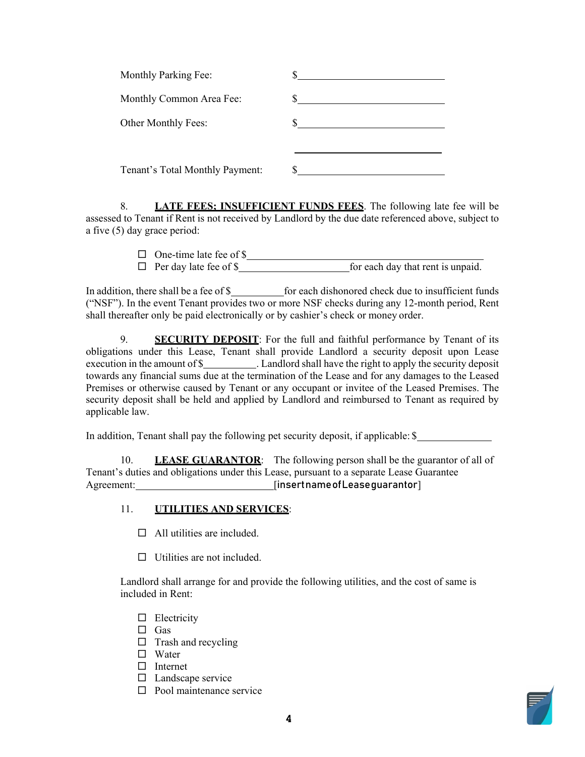| Monthly Parking Fee:            |  |
|---------------------------------|--|
| Monthly Common Area Fee:        |  |
| Other Monthly Fees:             |  |
|                                 |  |
| Tenant's Total Monthly Payment: |  |

 assessed to Tenant if Rent is not received by Landlord by the due date referenced above, subject to a five (5) day grace period: 8. **LATE FEES; INSUFFICIENT FUNDS FEES**. The following late fee will be

> Ì  $\Box$  One-time late fee of \$  $\Box$  Per day late fee of \$

In addition, there shall be a fee of \$\_\_\_\_\_\_\_\_\_\_\_\_\_\_ for each dishonored check due to insufficient funds ("NSF"). In the event Tenant provides two or more NSF checks during any 12-month period, Rent shall thereafter only be paid electronically or by cashier's check or money order.

execution in the amount of \$ towards any financial sums due at the termination of the Lease and for any damages to the Leased applicable law. 9. **SECURITY DEPOSIT**: For the full and faithful performance by Tenant of its obligations under this Lease, Tenant shall provide Landlord a security deposit upon Lease Premises or otherwise caused by Tenant or any occupant or invitee of the Leased Premises. The security deposit shall be held and applied by Landlord and reimbursed to Tenant as required by

In addition, Tenant shall pay the following pet security deposit, if applicable: \$

 10. **LEASE GUARANTOR**: The following person shall be the guarantor of all of Agreement: Tenant's duties and obligations under this Lease, pursuant to a separate Lease Guarantee **Agreement: [insertname of Lease quarantor]** 

#### 11. **UTILITIES AND SERVICES**:

- $\Box$  All utilities are included.
- $\Box$  Utilities are not included.

Landlord shall arrange for and provide the following utilities, and the cost of same is included in Rent:

- $\Box$  Electricity
- Gas
- $\Box$  Trash and recycling
- □ Water
- $\Box$  Internet
- □ Landscape service
- $\Box$  Pool maintenance service

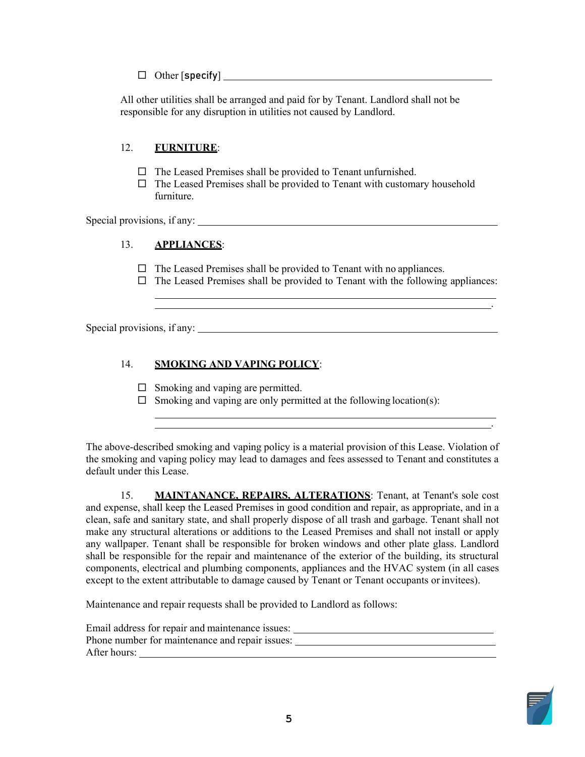$\Box$  Other [specify]

 All other utilities shall be arranged and paid for by Tenant. Landlord shall not be responsible for any disruption in utilities not caused by Landlord.

# 12. **FURNITURE**:

- $\Box$  The Leased Premises shall be provided to Tenant unfurnished.
- $\Box$  The Leased Premises shall be provided to Tenant with customary household furniture.

Special provisions, if any:

# 13. **APPLIANCES**:

 $\Box$  The Leased Premises shall be provided to Tenant with no appliances.

 $\Box$  The Leased Premises shall be provided to Tenant with the following appliances:

Special provisions, if any:

 $\overline{a}$ 

 $\overline{a}$ 

# 14. **SMOKING AND VAPING POLICY**:

- □ Smoking and vaping are permitted.
- $\Box$  Smoking and vaping are only permitted at the following location(s):

 The above-described smoking and vaping policy is a material provision of this Lease. Violation of the smoking and vaping policy may lead to damages and fees assessed to Tenant and constitutes a default under this Lease.

 make any structural alterations or additions to the Leased Premises and shall not install or apply except to the extent attributable to damage caused by Tenant or Tenant occupants or invitees). 15. **MAINTANANCE, REPAIRS, ALTERATIONS**: Tenant, at Tenant's sole cost and expense, shall keep the Leased Premises in good condition and repair, as appropriate, and in a clean, safe and sanitary state, and shall properly dispose of all trash and garbage. Tenant shall not any wallpaper. Tenant shall be responsible for broken windows and other plate glass. Landlord shall be responsible for the repair and maintenance of the exterior of the building, its structural components, electrical and plumbing components, appliances and the HVAC system (in all cases

Maintenance and repair requests shall be provided to Landlord as follows:

 Email address for repair and maintenance issues: Phone number for maintenance and repair issues: After hours:



.

.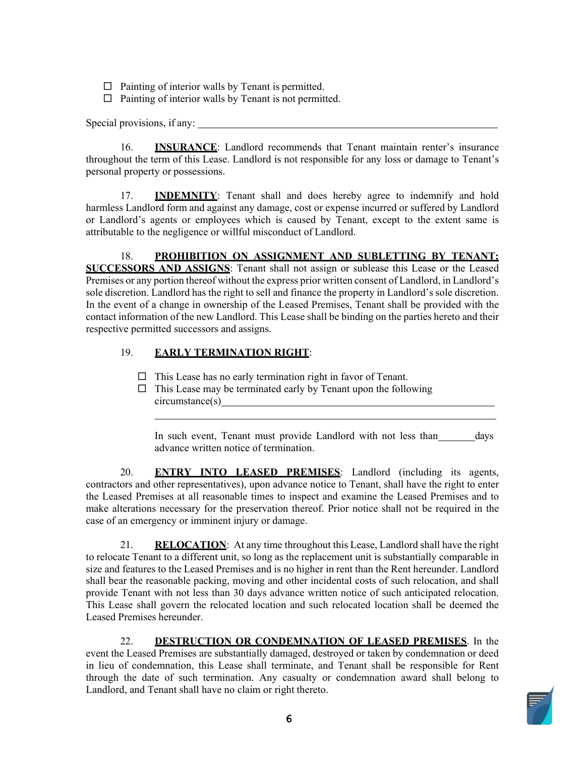- $\Box$  Painting of interior walls by Tenant is permitted.
- $\Box$  Painting of interior walls by Tenant is not permitted.

Special provisions, if any:

 personal property or possessions. 16. **INSURANCE**: Landlord recommends that Tenant maintain renter's insurance throughout the term of this Lease. Landlord is not responsible for any loss or damage to Tenant's

 harmless Landlord form and against any damage, cost or expense incurred or suffered by Landlord or Landlord's agents or employees which is caused by Tenant, except to the extent same is attributable to the negligence or willful misconduct of Landlord. 17. **INDEMNITY**: Tenant shall and does hereby agree to indemnify and hold

 Premises or any portion thereof without the express prior written consent of Landlord, in Landlord's sole discretion. Landlord has the right to sell and finance the property in Landlord's sole discretion. contact information of the new Landlord. This Lease shall be binding on the parties hereto and their respective permitted successors and assigns. 18. **PROHIBITION ON ASSIGNMENT AND SUBLETTING BY TENANT; SUCCESSORS AND ASSIGNS**: Tenant shall not assign or sublease this Lease or the Leased In the event of a change in ownership of the Leased Premises, Tenant shall be provided with the

#### 19. **EARLY TERMINATION RIGHT**:

- $\Box$  This Lease has no early termination right in favor of Tenant.
- $circumstance(s)$  $\Box$  This Lease may be terminated early by Tenant upon the following

 circumstance(s) In such event, Tenant must provide Landlord with not less than days advance written notice of termination.

 contractors and other representatives), upon advance notice to Tenant, shall have the right to enter case of an emergency or imminent injury or damage. 20. **ENTRY INTO LEASED PREMISES**: Landlord (including its agents, the Leased Premises at all reasonable times to inspect and examine the Leased Premises and to make alterations necessary for the preservation thereof. Prior notice shall not be required in the

 21. **RELOCATION**: At any time throughout this Lease, Landlord shall have the right to relocate Tenant to a different unit, so long as the replacement unit is substantially comparable in size and features to the Leased Premises and is no higher in rent than the Rent hereunder. Landlord Leased Premises hereunder. shall bear the reasonable packing, moving and other incidental costs of such relocation, and shall provide Tenant with not less than 30 days advance written notice of such anticipated relocation. This Lease shall govern the relocated location and such relocated location shall be deemed the

 event the Leased Premises are substantially damaged, destroyed or taken by condemnation or deed Landlord, and Tenant shall have no claim or right thereto. 22. **DESTRUCTION OR CONDEMNATION OF LEASED PREMISES**. In the in lieu of condemnation, this Lease shall terminate, and Tenant shall be responsible for Rent through the date of such termination. Any casualty or condemnation award shall belong to

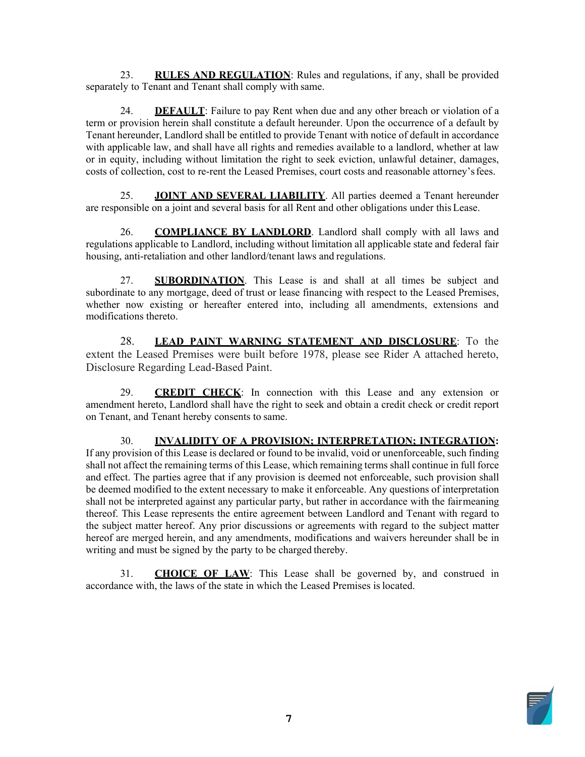separately to Tenant and Tenant shall comply with same. 23. **RULES AND REGULATION**: Rules and regulations, if any, shall be provided

 Tenant hereunder, Landlord shall be entitled to provide Tenant with notice of default in accordance with applicable law, and shall have all rights and remedies available to a landlord, whether at law costs of collection, cost to re-rent the Leased Premises, court costs and reasonable attorney'sfees. 24. **DEFAULT**: Failure to pay Rent when due and any other breach or violation of a term or provision herein shall constitute a default hereunder. Upon the occurrence of a default by or in equity, including without limitation the right to seek eviction, unlawful detainer, damages,

 are responsible on a joint and several basis for all Rent and other obligations under this Lease. 25. **JOINT AND SEVERAL LIABILITY**. All parties deemed a Tenant hereunder

 regulations applicable to Landlord, including without limitation all applicable state and federal fair housing, anti-retaliation and other landlord/tenant laws and regulations. 26. **COMPLIANCE BY LANDLORD**. Landlord shall comply with all laws and

 modifications thereto. 27. **SUBORDINATION**. This Lease is and shall at all times be subject and subordinate to any mortgage, deed of trust or lease financing with respect to the Leased Premises, whether now existing or hereafter entered into, including all amendments, extensions and

28. **LEAD PAINT WARNING STATEMENT AND DISCLOSURE**: To the extent the Leased Premises were built before 1978, please see Rider A attached hereto, Disclosure Regarding Lead-Based Paint.

 on Tenant, and Tenant hereby consents to same. 29. **CREDIT CHECK**: In connection with this Lease and any extension or amendment hereto, Landlord shall have the right to seek and obtain a credit check or credit report

 If any provision of this Lease is declared or found to be invalid, void or unenforceable, such finding shall not affect the remaining terms of this Lease, which remaining terms shall continue in full force be deemed modified to the extent necessary to make it enforceable. Any questions of interpretation shall not be interpreted against any particular party, but rather in accordance with the fairmeaning the subject matter hereof. Any prior discussions or agreements with regard to the subject matter hereof are merged herein, and any amendments, modifications and waivers hereunder shall be in writing and must be signed by the party to be charged thereby. 30. **INVALIDITY OF A PROVISION; INTERPRETATION; INTEGRATION:**  and effect. The parties agree that if any provision is deemed not enforceable, such provision shall thereof. This Lease represents the entire agreement between Landlord and Tenant with regard to

31. **CHOICE OF LAW**: This Lease shall be governed by, and construed in accordance with, the laws of the state in which the Leased Premises is located.

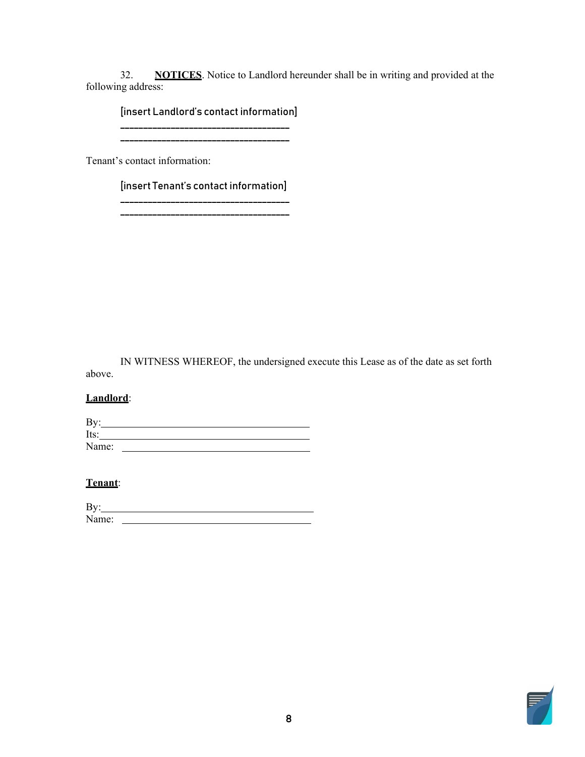following address: 32. **NOTICES**. Notice to Landlord hereunder shall be in writing and provided at the

\_\_\_\_\_\_\_\_\_\_\_\_\_\_\_\_\_\_\_\_\_\_\_\_\_\_\_\_\_\_\_\_\_\_\_\_\_ [insert Landlord's contact information]

\_\_\_\_\_\_\_\_\_\_\_\_\_\_\_\_\_\_\_\_\_\_\_\_\_\_\_\_\_\_\_\_\_\_\_\_\_

Tenant's contact information:

\_\_\_\_\_\_\_\_\_\_\_\_\_\_\_\_\_\_\_\_\_\_\_\_\_\_\_\_\_\_\_\_\_\_\_\_\_ [insert Tenant's contact information]

IN WITNESS WHEREOF, the undersigned execute this Lease as of the date as set forth above.

#### **Landlord**:

| By:   |  |  |  |
|-------|--|--|--|
| Its:  |  |  |  |
| Name: |  |  |  |

# **Tenant**:

| D<br>D                    |  |  |  |
|---------------------------|--|--|--|
| N<br>$ma$ .<br>. .<br>. . |  |  |  |
|                           |  |  |  |

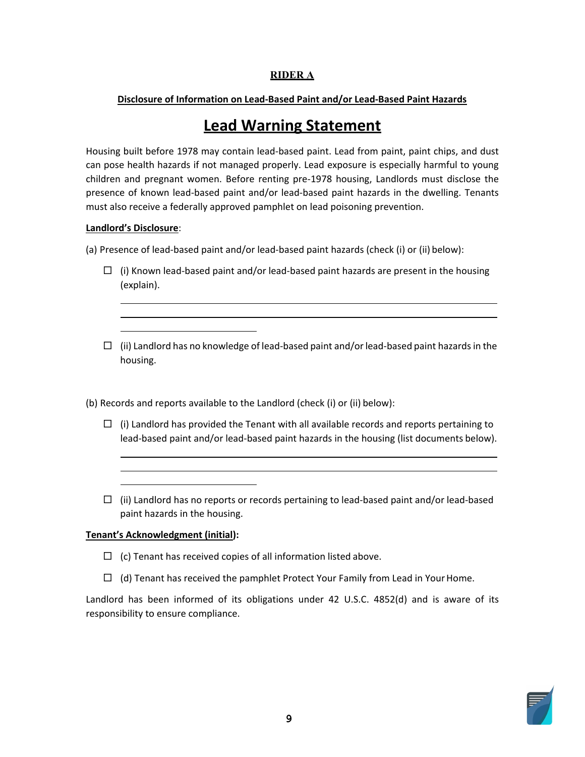# **RIDER A**

### **Disclosure of Information on Lead-Based Paint and/or Lead-Based Paint Hazards**

# **Lead Warning Statement**

 Housing built before 1978 may contain lead-based paint. Lead from paint, paint chips, and dust presence of known lead-based paint and/or lead-based paint hazards in the dwelling. Tenants can pose health hazards if not managed properly. Lead exposure is especially harmful to young children and pregnant women. Before renting pre-1978 housing, Landlords must disclose the must also receive a federally approved pamphlet on lead poisoning prevention.

#### **Landlord's Disclosure**:

- (a) Presence of lead-based paint and/or lead-based paint hazards (check (i) or (ii) below):
	- $\Box$  (i) Known lead-based paint and/or lead-based paint hazards are present in the housing (explain).
	- $\Box$  (ii) Landlord has no knowledge of lead-based paint and/or lead-based paint hazards in the housing.

(b) Records and reports available to the Landlord (check (i) or (ii) below):

- $\Box$  (i) Landlord has provided the Tenant with all available records and reports pertaining to lead-based paint and/or lead-based paint hazards in the housing (list documents below).
- $\Box$  (ii) Landlord has no reports or records pertaining to lead-based paint and/or lead-based paint hazards in the housing.

#### **Tenant's Acknowledgment (initial):**

- $\Box$  (c) Tenant has received copies of all information listed above.
- $\Box$  (d) Tenant has received the pamphlet Protect Your Family from Lead in Your Home.

 Landlord has been informed of its obligations under 42 U.S.C. 4852(d) and is aware of its responsibility to ensure compliance.

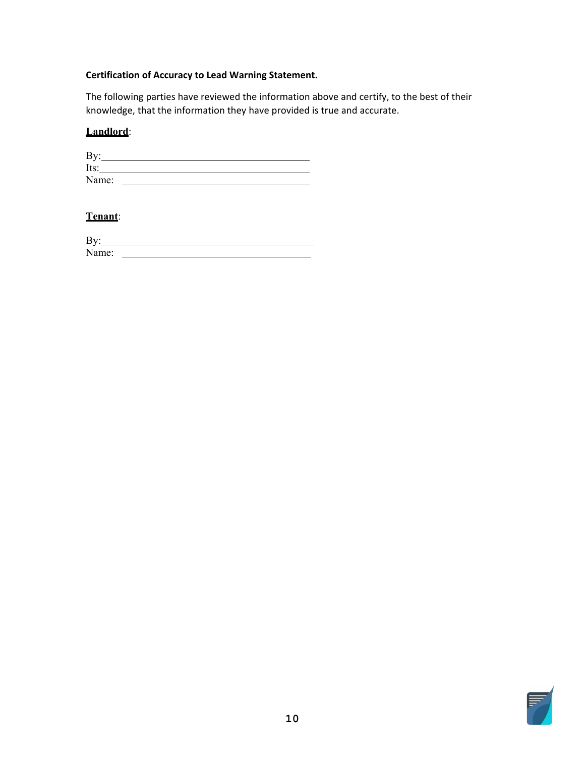# **Certification of Accuracy to Lead Warning Statement.**

 The following parties have reviewed the information above and certify, to the best of their knowledge, that the information they have provided is true and accurate.

### **Landlord**:

| By:   |  |  |  |
|-------|--|--|--|
| Its:  |  |  |  |
| Name: |  |  |  |

# **Tenant**:

| D<br>B |  |  |  |
|--------|--|--|--|
| Name:  |  |  |  |